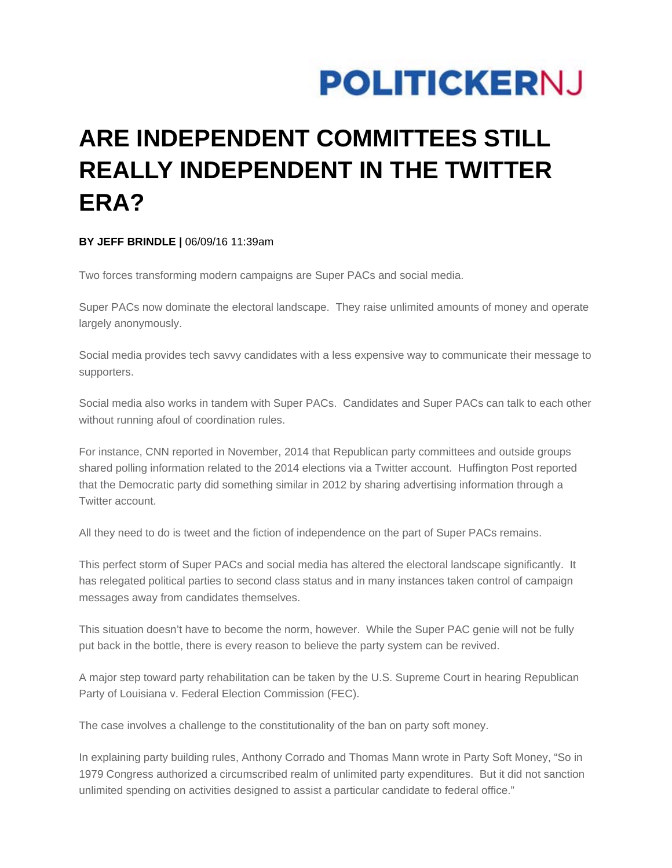## **POLITICKERNJ**

## **ARE INDEPENDENT COMMITTEES STILL REALLY INDEPENDENT IN THE TWITTER ERA?**

## **BY JEFF BRINDLE |** 06/09/16 11:39am

Two forces transforming modern campaigns are Super PACs and social media.

Super PACs now dominate the electoral landscape. They raise unlimited amounts of money and operate largely anonymously.

Social media provides tech savvy candidates with a less expensive way to communicate their message to supporters.

Social media also works in tandem with Super PACs. Candidates and Super PACs can talk to each other without running afoul of coordination rules.

For instance, CNN reported in November, 2014 that Republican party committees and outside groups shared polling information related to the 2014 elections via a Twitter account. Huffington Post reported that the Democratic party did something similar in 2012 by sharing advertising information through a Twitter account.

All they need to do is tweet and the fiction of independence on the part of Super PACs remains.

This perfect storm of Super PACs and social media has altered the electoral landscape significantly. It has relegated political parties to second class status and in many instances taken control of campaign messages away from candidates themselves.

This situation doesn't have to become the norm, however. While the Super PAC genie will not be fully put back in the bottle, there is every reason to believe the party system can be revived.

A major step toward party rehabilitation can be taken by the U.S. Supreme Court in hearing Republican Party of Louisiana v. Federal Election Commission (FEC).

The case involves a challenge to the constitutionality of the ban on party soft money.

In explaining party building rules, Anthony Corrado and Thomas Mann wrote in Party Soft Money, "So in 1979 Congress authorized a circumscribed realm of unlimited party expenditures. But it did not sanction unlimited spending on activities designed to assist a particular candidate to federal office."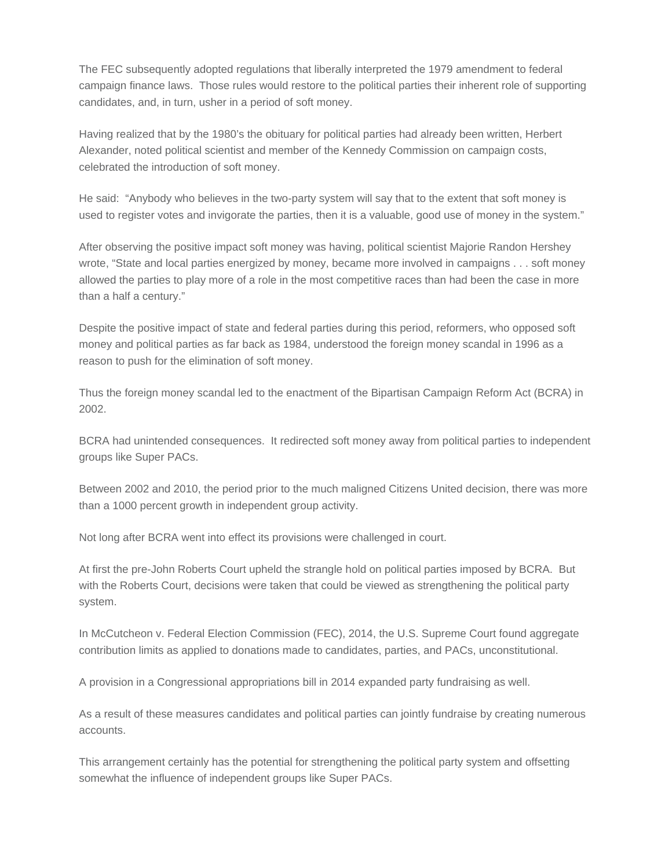The FEC subsequently adopted regulations that liberally interpreted the 1979 amendment to federal campaign finance laws. Those rules would restore to the political parties their inherent role of supporting candidates, and, in turn, usher in a period of soft money.

Having realized that by the 1980's the obituary for political parties had already been written, Herbert Alexander, noted political scientist and member of the Kennedy Commission on campaign costs, celebrated the introduction of soft money.

He said: "Anybody who believes in the two-party system will say that to the extent that soft money is used to register votes and invigorate the parties, then it is a valuable, good use of money in the system."

After observing the positive impact soft money was having, political scientist Majorie Randon Hershey wrote, "State and local parties energized by money, became more involved in campaigns . . . soft money allowed the parties to play more of a role in the most competitive races than had been the case in more than a half a century."

Despite the positive impact of state and federal parties during this period, reformers, who opposed soft money and political parties as far back as 1984, understood the foreign money scandal in 1996 as a reason to push for the elimination of soft money.

Thus the foreign money scandal led to the enactment of the Bipartisan Campaign Reform Act (BCRA) in 2002.

BCRA had unintended consequences. It redirected soft money away from political parties to independent groups like Super PACs.

Between 2002 and 2010, the period prior to the much maligned Citizens United decision, there was more than a 1000 percent growth in independent group activity.

Not long after BCRA went into effect its provisions were challenged in court.

At first the pre-John Roberts Court upheld the strangle hold on political parties imposed by BCRA. But with the Roberts Court, decisions were taken that could be viewed as strengthening the political party system.

In McCutcheon v. Federal Election Commission (FEC), 2014, the U.S. Supreme Court found aggregate contribution limits as applied to donations made to candidates, parties, and PACs, unconstitutional.

A provision in a Congressional appropriations bill in 2014 expanded party fundraising as well.

As a result of these measures candidates and political parties can jointly fundraise by creating numerous accounts.

This arrangement certainly has the potential for strengthening the political party system and offsetting somewhat the influence of independent groups like Super PACs.